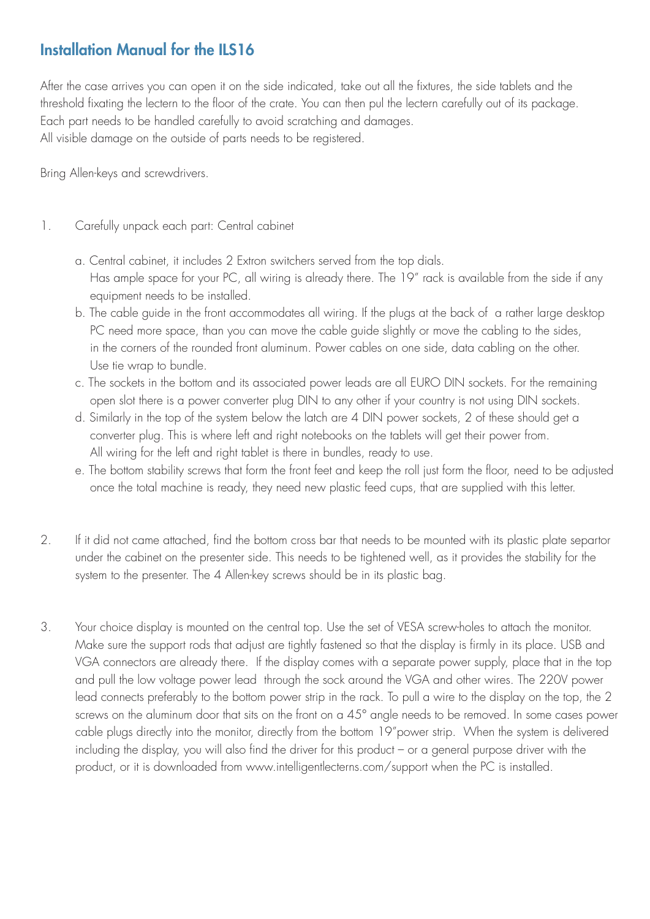## Installation Manual for the ILS16

After the case arrives you can open it on the side indicated, take out all the fixtures, the side tablets and the threshold fixating the lectern to the floor of the crate. You can then pul the lectern carefully out of its package. Each part needs to be handled carefully to avoid scratching and damages. All visible damage on the outside of parts needs to be registered.

Bring Allen-keys and screwdrivers.

- 1. Carefully unpack each part: Central cabinet
	- a. Central cabinet, it includes 2 Extron switchers served from the top dials. Has ample space for your PC, all wiring is already there. The 19" rack is available from the side if any equipment needs to be installed.
	- b. The cable guide in the front accommodates all wiring. If the plugs at the back of a rather large desktop PC need more space, than you can move the cable guide slightly or move the cabling to the sides, in the corners of the rounded front aluminum. Power cables on one side, data cabling on the other. Use tie wrap to bundle.
	- c. The sockets in the bottom and its associated power leads are all EURO DIN sockets. For the remaining open slot there is a power converter plug DIN to any other if your country is not using DIN sockets.
	- d. Similarly in the top of the system below the latch are 4 DIN power sockets, 2 of these should get a converter plug. This is where left and right notebooks on the tablets will get their power from. All wiring for the left and right tablet is there in bundles, ready to use.
	- e. The bottom stability screws that form the front feet and keep the roll just form the floor, need to be adjusted once the total machine is ready, they need new plastic feed cups, that are supplied with this letter.
- 2. If it did not came attached, find the bottom cross bar that needs to be mounted with its plastic plate separtor under the cabinet on the presenter side. This needs to be tightened well, as it provides the stability for the system to the presenter. The 4 Allen-key screws should be in its plastic bag.
- 3. Your choice display is mounted on the central top. Use the set of VESA screw-holes to attach the monitor. Make sure the support rods that adjust are tightly fastened so that the display is firmly in its place. USB and VGA connectors are already there. If the display comes with a separate power supply, place that in the top and pull the low voltage power lead through the sock around the VGA and other wires. The 220V power lead connects preferably to the bottom power strip in the rack. To pull a wire to the display on the top, the 2 screws on the aluminum door that sits on the front on a 45° angle needs to be removed. In some cases power cable plugs directly into the monitor, directly from the bottom 19"power strip. When the system is delivered including the display, you will also find the driver for this product – or a general purpose driver with the product, or it is downloaded from www.intelligentlecterns.com/support when the PC is installed.